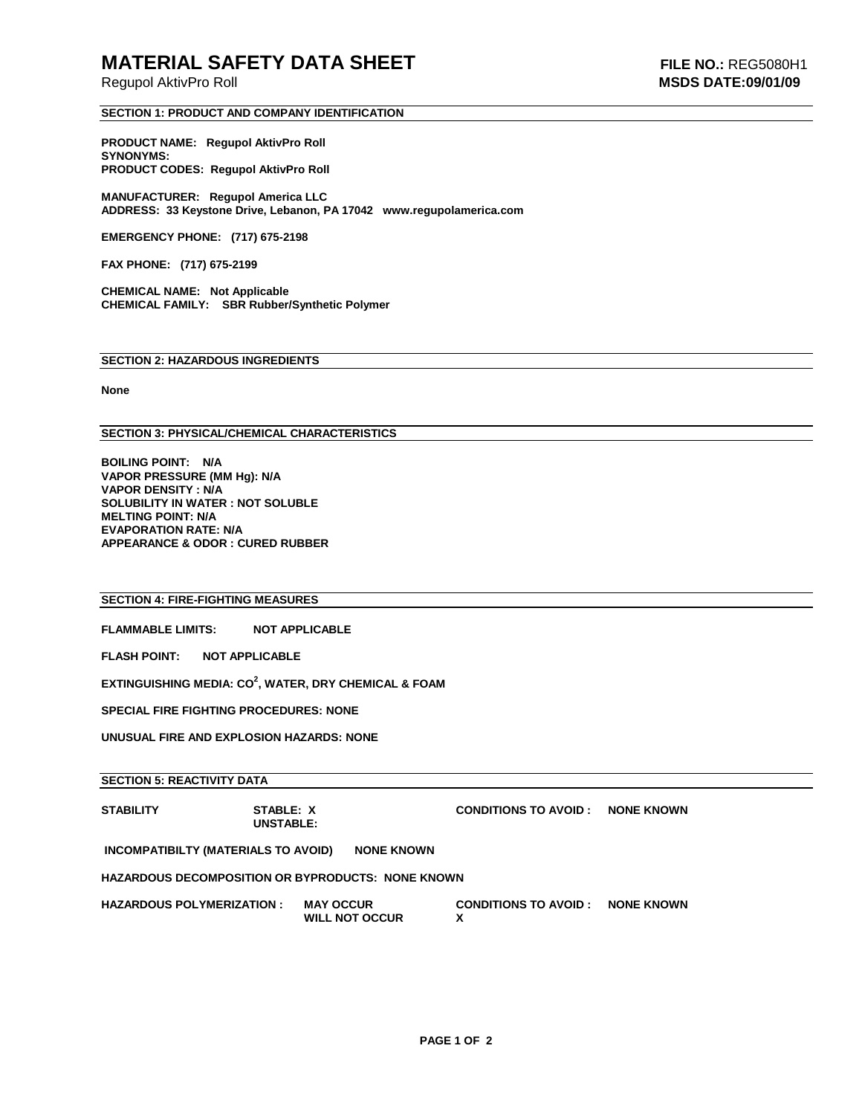## **MATERIAL SAFETY DATA SHEET FILE NO.:** REG5080H1

Regupol AktivPro Roll **MSDS DATE:09/01/09**

#### **SECTION 1: PRODUCT AND COMPANY IDENTIFICATION**

**PRODUCT NAME: Regupol AktivPro Roll SYNONYMS: PRODUCT CODES: Regupol AktivPro Roll**

**MANUFACTURER: Regupol America LLC ADDRESS: 33 Keystone Drive, Lebanon, PA 17042 www.regupolamerica.com** 

**EMERGENCY PHONE: (717) 675-2198**

**FAX PHONE: (717) 675-2199** 

**CHEMICAL NAME: Not Applicable CHEMICAL FAMILY: SBR Rubber/Synthetic Polymer**

#### **SECTION 2: HAZARDOUS INGREDIENTS**

**None**

#### **SECTION 3: PHYSICAL/CHEMICAL CHARACTERISTICS**

**BOILING POINT: N/A VAPOR PRESSURE (MM Hg): N/A VAPOR DENSITY : N/A SOLUBILITY IN WATER : NOT SOLUBLE MELTING POINT: N/A EVAPORATION RATE: N/A APPEARANCE & ODOR : CURED RUBBER**

#### **SECTION 4: FIRE-FIGHTING MEASURES**

**FLAMMABLE LIMITS: NOT APPLICABLE** 

**FLASH POINT: NOT APPLICABLE** 

**EXTINGUISHING MEDIA: CO<sup>2</sup> , WATER, DRY CHEMICAL & FOAM**

**SPECIAL FIRE FIGHTING PROCEDURES: NONE**

**UNUSUAL FIRE AND EXPLOSION HAZARDS: NONE**

#### **SECTION 5: REACTIVITY DATA**

**STABILITY STABLE: X CONDITIONS TO AVOID : NONE KNOWN UNSTABLE: INCOMPATIBILTY (MATERIALS TO AVOID) NONE KNOWN HAZARDOUS DECOMPOSITION OR BYPRODUCTS: NONE KNOWN HAZARDOUS POLYMERIZATION : MAY OCCUR CONDITIONS TO AVOID : NONE KNOWN WILL NOT OCCUR X**